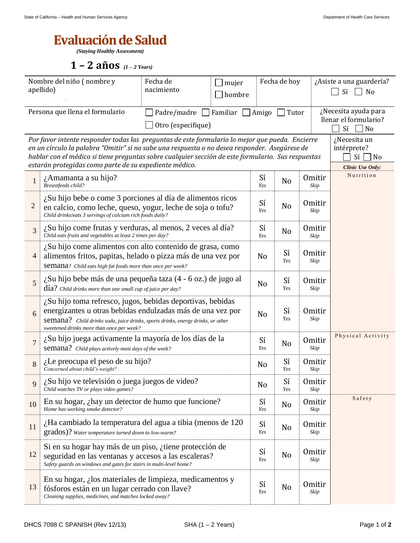## **Evaluación de Salud**

*(Staying Healthy Assessment)*

**1 – 2 años** *(1 – 2 Years)*

| Nombre del niño (nombre y<br>apellido)                                                                                                                                                                                                                                                                                                                                                                                                        |                                                                                                                                                                                                                                                                   | Fecha de<br>nacimiento | Fecha de hoy<br>mujer<br>hombre |                |                       | ¿Asiste a una guardería?<br>Sí<br>No |                                                                  |  |
|-----------------------------------------------------------------------------------------------------------------------------------------------------------------------------------------------------------------------------------------------------------------------------------------------------------------------------------------------------------------------------------------------------------------------------------------------|-------------------------------------------------------------------------------------------------------------------------------------------------------------------------------------------------------------------------------------------------------------------|------------------------|---------------------------------|----------------|-----------------------|--------------------------------------|------------------------------------------------------------------|--|
| Persona que llena el formulario<br>Padre/madre Familiar $\Box$<br>Otro (especifique)                                                                                                                                                                                                                                                                                                                                                          |                                                                                                                                                                                                                                                                   |                        |                                 |                | Tutor                 |                                      | ¿Necesita ayuda para<br>llenar el formulario?<br>Sí<br>$\neg$ No |  |
| Por favor intente responder todas las preguntas de este formulario lo mejor que pueda. Encierre<br>¿Necesita un<br>en un círculo la palabra "Omitir" si no sabe una respuesta o no desea responder. Asegúrese de<br>intérprete?<br>hablar con el médico si tiene preguntas sobre cualquier sección de este formulario. Sus respuestas<br>Sí<br>$\Box$ No<br>estarán protegidas como parte de su expediente médico.<br><b>Clinic Use Only:</b> |                                                                                                                                                                                                                                                                   |                        |                                 |                |                       |                                      |                                                                  |  |
| $\mathbf{1}$                                                                                                                                                                                                                                                                                                                                                                                                                                  | ¿Amamanta a su hijo?<br>Breastfeeds child?                                                                                                                                                                                                                        |                        |                                 |                | N <sub>o</sub>        | <b>Omitir</b><br>Skip                | Nutrition                                                        |  |
| $\overline{c}$                                                                                                                                                                                                                                                                                                                                                                                                                                | ¿Su hijo bebe o come 3 porciones al día de alimentos ricos<br>en calcio, como leche, queso, yogur, leche de soja o tofu?<br>Child drinks/eats 3 servings of calcium rich foods daily?                                                                             |                        |                                 |                | N <sub>o</sub>        | <b>Omitir</b><br>Skip                |                                                                  |  |
| 3                                                                                                                                                                                                                                                                                                                                                                                                                                             | $\lambda$ Su hijo come frutas y verduras, al menos, 2 veces al día?<br>Child eats fruits and vegetables at least 2 times per day?                                                                                                                                 |                        | Sí<br>Yes                       | N <sub>o</sub> | <b>Omitir</b><br>Skip |                                      |                                                                  |  |
| $\overline{4}$                                                                                                                                                                                                                                                                                                                                                                                                                                | ¿Su hijo come alimentos con alto contenido de grasa, como<br>alimentos fritos, papitas, helado o pizza más de una vez por<br>Semana? Child eats high fat foods more than once per week?                                                                           |                        | N <sub>0</sub>                  | Sí<br>Yes      | <b>Omitir</b><br>Skip |                                      |                                                                  |  |
| 5                                                                                                                                                                                                                                                                                                                                                                                                                                             | ¿Su hijo bebe más de una pequeña taza (4 - 6 oz.) de jugo al<br>$\text{d\'ia?}$ Child drinks more than one small cup of juice per day?                                                                                                                            |                        | N <sub>0</sub>                  | Sí<br>Yes      | <b>Omitir</b><br>Skip |                                      |                                                                  |  |
| 6                                                                                                                                                                                                                                                                                                                                                                                                                                             | $\lambda$ Su hijo toma refresco, jugos, bebidas deportivas, bebidas<br>energizantes u otras bebidas endulzadas más de una vez por<br>Semana? Child drinks soda, juice drinks, sports drinks, energy drinks, or other<br>sweetened drinks more than once per week? |                        | N <sub>o</sub>                  | Sí<br>Yes      | <b>Omitir</b><br>Skip |                                      |                                                                  |  |
| $\overline{7}$                                                                                                                                                                                                                                                                                                                                                                                                                                | ¿Su hijo juega activamente la mayoría de los días de la<br>semana? Child plays actively most days of the week?                                                                                                                                                    |                        |                                 |                | N <sub>o</sub>        | Omitir<br>Skip                       | Physical Activity                                                |  |
| 8                                                                                                                                                                                                                                                                                                                                                                                                                                             | ¿Le preocupa el peso de su hijo?<br>Concerned about child's weight?                                                                                                                                                                                               |                        |                                 |                | Sí<br>Yes             | <b>Omitir</b><br>Skip                |                                                                  |  |
|                                                                                                                                                                                                                                                                                                                                                                                                                                               | $\lambda$ Su hijo ve televisión o juega juegos de video?<br>Child watches TV or plays video games?                                                                                                                                                                |                        | No                              | Sí<br>Yes      | <b>Omitir</b><br>Skip |                                      |                                                                  |  |
| 10                                                                                                                                                                                                                                                                                                                                                                                                                                            | En su hogar, ¿hay un detector de humo que funcione?<br>Home has working smoke detector?                                                                                                                                                                           |                        |                                 |                | No                    | <b>Omitir</b><br>Skip                | Safety                                                           |  |
| 11                                                                                                                                                                                                                                                                                                                                                                                                                                            | $\lambda$ Ha cambiado la temperatura del agua a tibia (menos de 120<br>grados)? Water temperature turned down to low-warm?                                                                                                                                        |                        |                                 | Sí<br>Yes      | No                    | <b>Omitir</b><br>Skip                |                                                                  |  |
| 12                                                                                                                                                                                                                                                                                                                                                                                                                                            | Si en su hogar hay más de un piso, ¿tiene protección de<br>seguridad en las ventanas y accesos a las escaleras?<br>Safety guards on windows and gates for stairs in multi-level home?                                                                             |                        |                                 | Sí<br>Yes      | N <sub>o</sub>        | <b>Omitir</b><br>Skip                |                                                                  |  |
| 13                                                                                                                                                                                                                                                                                                                                                                                                                                            | En su hogar, $\lambda$ los materiales de limpieza, medicamentos y<br>fósforos están en un lugar cerrado con llave?<br>Cleaning supplies, medicines, and matches locked away?                                                                                      |                        |                                 |                | N <sub>o</sub>        | <b>Omitir</b><br>Skip                |                                                                  |  |